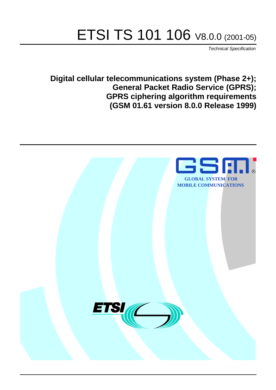# ETSI TS 101 106 V8.0.0 (2001-05)

Technical Specification

**Digital cellular telecommunications system (Phase 2+); General Packet Radio Service (GPRS); GPRS ciphering algorithm requirements (GSM 01.61 version 8.0.0 Release 1999)**

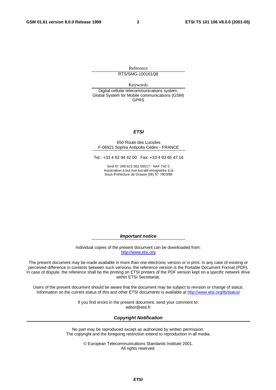Reference

RTS/SMG-100161Q8

Keywords

Digital cellular telecommunications system, Global System for Mobile communications (GSM) GPRS

#### **ETSI**

#### 650 Route des Lucioles F-06921 Sophia Antipolis Cedex - FRANCE

Tel.: +33 4 92 94 42 00 Fax: +33 4 93 65 47 16

Siret N° 348 623 562 00017 - NAF 742 C Association à but non lucratif enregistrée à la Sous-Préfecture de Grasse (06) N° 7803/88

**Important notice**

Individual copies of the present document can be downloaded from: [http://www.etsi.org](http://www.etsi.org/)

The present document may be made available in more than one electronic version or in print. In any case of existing or perceived difference in contents between such versions, the reference version is the Portable Document Format (PDF). In case of dispute, the reference shall be the printing on ETSI printers of the PDF version kept on a specific network drive within ETSI Secretariat.

Users of the present document should be aware that the document may be subject to revision or change of status. Information on the current status of this and other ETSI documents is available at [http://www.etsi.org/tb/status/](http://www.etsi.org/tb/status)

> If you find errors in the present document, send your comment to: <editor@etsi.fr>

#### **Copyright Notification**

No part may be reproduced except as authorized by written permission. The copyright and the foregoing restriction extend to reproduction in all media.

> © European Telecommunications Standards Institute 2001. All rights reserved.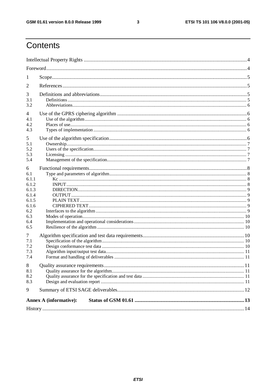#### $\mathbf{3}$

### Contents

| 1                                                                                          |                               |  |  |  |  |
|--------------------------------------------------------------------------------------------|-------------------------------|--|--|--|--|
| 2                                                                                          |                               |  |  |  |  |
| 3<br>3.1<br>3.2                                                                            |                               |  |  |  |  |
| 4<br>4.1<br>4.2<br>4.3                                                                     |                               |  |  |  |  |
| 5<br>5.1<br>5.2<br>5.3<br>5.4                                                              |                               |  |  |  |  |
| 6<br>6.1<br>6.1.1<br>6.1.2<br>6.1.3<br>6.1.4<br>6.1.5<br>6.1.6<br>6.2<br>6.3<br>6.4<br>6.5 |                               |  |  |  |  |
| 7<br>7.1<br>7.2<br>7.3<br>7.4                                                              |                               |  |  |  |  |
| 8<br>8.1<br>8.2<br>8.3                                                                     |                               |  |  |  |  |
| 9                                                                                          |                               |  |  |  |  |
|                                                                                            | <b>Annex A (informative):</b> |  |  |  |  |
|                                                                                            |                               |  |  |  |  |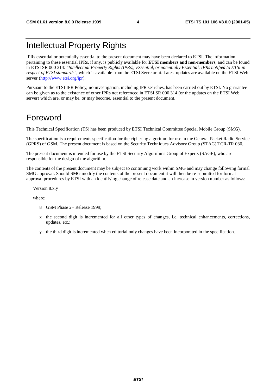### Intellectual Property Rights

IPRs essential or potentially essential to the present document may have been declared to ETSI. The information pertaining to these essential IPRs, if any, is publicly available for **ETSI members and non-members**, and can be found in ETSI SR 000 314: *"Intellectual Property Rights (IPRs); Essential, or potentially Essential, IPRs notified to ETSI in respect of ETSI standards"*, which is available from the ETSI Secretariat. Latest updates are available on the ETSI Web server [\(http://www.etsi.org/ipr](http://www.etsi.org/ipr)).

Pursuant to the ETSI IPR Policy, no investigation, including IPR searches, has been carried out by ETSI. No guarantee can be given as to the existence of other IPRs not referenced in ETSI SR 000 314 (or the updates on the ETSI Web server) which are, or may be, or may become, essential to the present document.

### Foreword

This Technical Specification (TS) has been produced by ETSI Technical Committee Special Mobile Group (SMG).

The specification is a requirements specification for the ciphering algorithm for use in the General Packet Radio Service (GPRS) of GSM. The present document is based on the Security Techniques Advisory Group (STAG) TCR-TR 030.

The present document is intended for use by the ETSI Security Algorithms Group of Experts (SAGE), who are responsible for the design of the algorithm.

The contents of the present document may be subject to continuing work within SMG and may change following formal SMG approval. Should SMG modify the contents of the present document it will then be re-submitted for formal approval procedures by ETSI with an identifying change of release date and an increase in version number as follows:

Version 8.x.y

where:

- 8 GSM Phase 2+ Release 1999;
- x the second digit is incremented for all other types of changes, i.e. technical enhancements, corrections, updates, etc.;
- y the third digit is incremented when editorial only changes have been incorporated in the specification.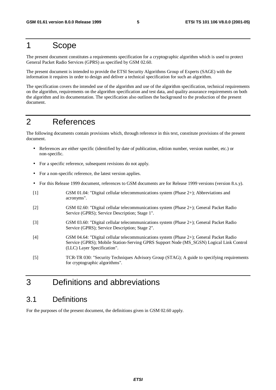### 1 Scope

The present document constitutes a requirements specification for a cryptographic algorithm which is used to protect General Packet Radio Services (GPRS) as specified by GSM 02.60.

The present document is intended to provide the ETSI Security Algorithms Group of Experts (SAGE) with the information it requires in order to design and deliver a technical specification for such an algorithm.

The specification covers the intended use of the algorithm and use of the algorithm specification, technical requirements on the algorithm, requirements on the algorithm specification and test data, and quality assurance requirements on both the algorithm and its documentation. The specification also outlines the background to the production of the present document.

### 2 References

The following documents contain provisions which, through reference in this text, constitute provisions of the present document.

- References are either specific (identified by date of publication, edition number, version number, etc.) or non-specific.
- For a specific reference, subsequent revisions do not apply.
- For a non-specific reference, the latest version applies.
- For this Release 1999 document, references to GSM documents are for Release 1999 versions (version 8.x.y).
- [1] GSM 01.04: "Digital cellular telecommunications system (Phase 2+); Abbreviations and acronyms". [2] GSM 02.60: "Digital cellular telecommunications system (Phase 2+); General Packet Radio Service (GPRS); Service Description; Stage 1". [3] GSM 03.60: "Digital cellular telecommunications system (Phase 2+); General Packet Radio Service (GPRS); Service Description; Stage 2". [4] GSM 04.64: "Digital cellular telecommunications system (Phase 2+); General Packet Radio Service (GPRS); Mobile Station-Serving GPRS Support Node (MS\_SGSN) Logical Link Control (LLC) Layer Specification".
- [5] TCR-TR 030: "Security Techniques Advisory Group (STAG); A guide to specifying requirements for cryptographic algorithms".

### 3 Definitions and abbreviations

#### 3.1 Definitions

For the purposes of the present document, the definitions given in GSM 02.60 apply.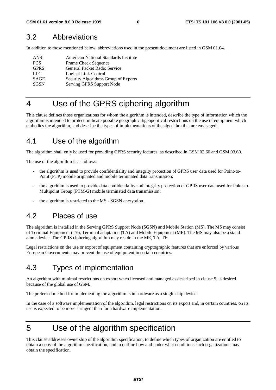#### 3.2 Abbreviations

In addition to those mentioned below, abbreviations used in the present document are listed in GSM 01.04.

| <b>ANSI</b> | American National Standards Institute |
|-------------|---------------------------------------|
| <b>FCS</b>  | Frame Check Sequence                  |
| <b>GPRS</b> | General Packet Radio Service          |
| LLC.        | Logical Link Control                  |
| <b>SAGE</b> | Security Algorithms Group of Experts  |
| <b>SGSN</b> | Serving GPRS Support Node             |

### 4 Use of the GPRS ciphering algorithm

This clause defines those organizations for whom the algorithm is intended, describe the type of information which the algorithm is intended to protect, indicate possible geographical/geopolitical restrictions on the use of equipment which embodies the algorithm, and describe the types of implementations of the algorithm that are envisaged.

### 4.1 Use of the algorithm

The algorithm shall only be used for providing GPRS security features, as described in GSM 02.60 and GSM 03.60.

The use of the algorithm is as follows:

- the algorithm is used to provide confidentiality and integrity protection of GPRS user data used for Point-to-Point (PTP) mobile originated and mobile terminated data transmission;
- the algorithm is used to provide data confidentiality and integrity protection of GPRS user data used for Point-to-Multipoint Group (PTM-G) mobile terminated data transmission;
- the algorithm is restricted to the MS SGSN encryption.

### 4.2 Places of use

The algorithm is installed in the Serving GPRS Support Node (SGSN) and Mobile Station (MS). The MS may consist of Terminal Equipment (TE), Terminal adaptation (TA) and Mobile Equipment (ME). The MS may also be a stand alone device. The GPRS ciphering algorithm may reside in the ME, TA, TE.

Legal restrictions on the use or export of equipment containing cryptographic features that are enforced by various European Governments may prevent the use of equipment in certain countries.

### 4.3 Types of implementation

An algorithm with minimal restrictions on export when licensed and managed as described in clause 5, is desired because of the global use of GSM.

The preferred method for implementing the algorithm is in hardware as a single chip device.

In the case of a software implementation of the algorithm, legal restrictions on its export and, in certain countries, on its use is expected to be more stringent than for a hardware implementation.

### 5 Use of the algorithm specification

This clause addresses ownership of the algorithm specification, to define which types of organization are entitled to obtain a copy of the algorithm specification, and to outline how and under what conditions such organizations may obtain the specification.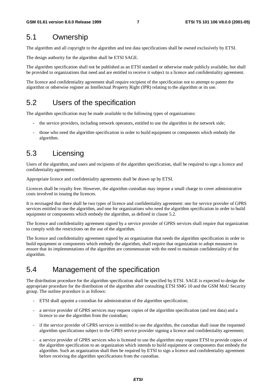#### 5.1 Ownership

The algorithm and all copyright to the algorithm and test data specifications shall be owned exclusively by ETSI.

The design authority for the algorithm shall be ETSI SAGE.

The algorithm specification shall not be published as an ETSI standard or otherwise made publicly available, but shall be provided to organizations that need and are entitled to receive it subject to a licence and confidentiality agreement.

The licence and confidentiality agreement shall require recipient of the specification not to attempt to patent the algorithm or otherwise register an Intellectual Property Right (IPR) relating to the algorithm or its use.

#### 5.2 Users of the specification

The algorithm specification may be made available to the following types of organizations:

- the service providers, including network operators, entitled to use the algorithm in the network side;
- those who need the algorithm specification in order to build equipment or components which embody the algorithm.

#### 5.3 Licensing

Users of the algorithm, and users and recipients of the algorithm specification, shall be required to sign a licence and confidentiality agreement.

Appropriate licence and confidentiality agreements shall be drawn up by ETSI.

Licences shall be royalty free. However, the algorithm custodian may impose a small charge to cover administrative costs involved in issuing the licences.

It is envisaged that there shall be two types of licence and confidentiality agreement: one for service provider of GPRS services entitled to use the algorithm, and one for organizations who need the algorithm specification in order to build equipment or components which embody the algorithm, as defined in clause 5.2.

The licence and confidentiality agreement signed by a service provider of GPRS services shall require that organization to comply with the restrictions on the use of the algorithm.

The licence and confidentiality agreement signed by an organization that needs the algorithm specification in order to build equipment or components which embody the algorithm, shall require that organization to adopt measures to ensure that its implementations of the algorithm are commensurate with the need to maintain confidentiality of the algorithm.

### 5.4 Management of the specification

The distribution procedure for the algorithm specification shall be specified by ETSI. SAGE is expected to design the appropriate procedure for the distribution of the algorithm after consulting ETSI SMG 10 and the GSM MoU Security group. The outline procedure is as follows:

- ETSI shall appoint a custodian for administration of the algorithm specification;
- a service provider of GPRS services may request copies of the algorithm specification (and test data) and a licence to use the algorithm from the custodian;
- if the service provider of GPRS services is entitled to use the algorithm, the custodian shall issue the requested algorithm specifications subject to the GPRS service provider signing a licence and confidentiality agreement;
- a service provider of GPRS services who is licensed to use the algorithm may request ETSI to provide copies of the algorithm specification to an organization which intends to build equipment or components that embody the algorithm. Such an organization shall then be required by ETSI to sign a licence and confidentiality agreement before receiving the algorithm specifications from the custodian.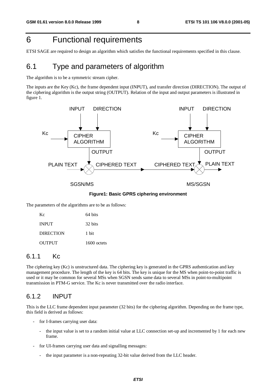### 6 Functional requirements

ETSI SAGE are required to design an algorithm which satisfies the functional requirements specified in this clause.

### 6.1 Type and parameters of algorithm

The algorithm is to be a symmetric stream cipher.

The inputs are the Key (Kc), the frame dependent input (INPUT), and transfer direction (DIRECTION). The output of the ciphering algorithm is the output string (OUTPUT). Relation of the input and output parameters is illustrated in figure 1.



**Figure1: Basic GPRS ciphering environment**

The parameters of the algorithms are to be as follows:

| Kc               | 64 bits     |
|------------------|-------------|
| <b>INPUT</b>     | 32 bits     |
| <b>DIRECTION</b> | 1 bit       |
| <b>OUTPUT</b>    | 1600 octets |

#### 6.1.1 Kc

The ciphering key (Kc) is unstructured data. The ciphering key is generated in the GPRS authentication and key management procedure. The length of the key is 64 bits. The key is unique for the MS when point-to-point traffic is used or it may be common for several MSs when SGSN sends same data to several MSs in point-to-multipoint transmission in PTM-G service. The Kc is never transmitted over the radio interface.

#### 6.1.2 INPUT

This is the LLC frame dependent input parameter (32 bits) for the ciphering algorithm. Depending on the frame type, this field is derived as follows:

- for I-frames carrying user data:
	- the input value is set to a random initial value at LLC connection set-up and incremented by 1 for each new frame.
- for UI-frames carrying user data and signalling messages:
	- the input parameter is a non-repeating 32-bit value derived from the LLC header.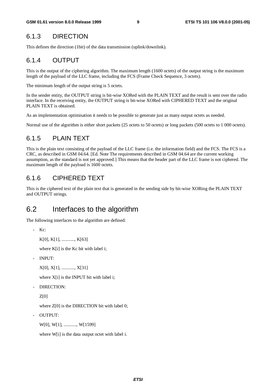#### 6.1.3 DIRECTION

This defines the direction (1bit) of the data transmission (uplink/downlink).

#### 6.1.4 OUTPUT

This is the output of the ciphering algorithm. The maximum length (1600 octets) of the output string is the maximum length of the payload of the LLC frame, including the FCS (Frame Check Sequence, 3 octets).

The minimum length of the output string is 5 octets.

In the sender entity, the OUTPUT string is bit-wise XORed with the PLAIN TEXT and the result is sent over the radio interface. In the receiving entity, the OUTPUT string is bit-wise XORed with CIPHERED TEXT and the original PLAIN TEXT is obtained.

As an implementation optimisation it needs to be possible to generate just as many output octets as needed.

Normal use of the algorithm is either short packets (25 octets to 50 octets) or long packets (500 octets to 1 000 octets).

#### 6.1.5 PLAIN TEXT

This is the plain text consisting of the payload of the LLC frame (i.e. the information field) and the FCS. The FCS is a CRC, as described in GSM 04.64. [Ed. Note The requirements described in GSM 04.64 are the current working assumption, as the standard is not yet approved.] This means that the header part of the LLC frame is not ciphered. The maximum length of the payload is 1600 octets.

#### 6.1.6 CIPHERED TEXT

This is the ciphered text of the plain text that is generated in the sending side by bit-wise XORing the PLAIN TEXT and OUTPUT strings.

#### 6.2 Interfaces to the algorithm

The following interfaces to the algorithm are defined:

```
- Kc:
```

```
K[0], K[1], ..........., K[63]
```
where K[i] is the Kc bit with label i;

- INPUT:

```
X[0], X[1], ..........., X[31]
```
where X[i] is the INPUT bit with label i;

DIRECTION:

Z[0]

where Z[0] is the DIRECTION bit with label 0;

- OUTPUT:

W[0], W[1], .........., W[1599]

where W[i] is the data output octet with label i.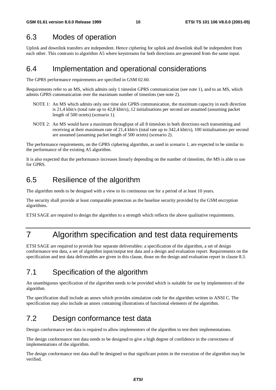### 6.3 Modes of operation

Uplink and downlink transfers are independent. Hence ciphering for uplink and downlink shall be independent from each other. This contrasts to algorithm A5 where keystreams for both directions are generated from the same input.

### 6.4 Implementation and operational considerations

The GPRS performance requirements are specified in GSM 02.60.

Requirements refer to an MS, which admits only 1 timeslot GPRS communication (see note 1), and to an MS, which admits GPRS communication over the maximum number of timeslots (see note 2).

- NOTE 1: An MS which admits only one time slot GPRS communication, the maximum capacity in each direction is 21,4 kbit/s (total rate up to 42,8 kbit/s), 12 initialisations per second are assumed (assuming packet length of 500 octets) (scenario 1).
- NOTE 2: An MS would have a maximum throughput of all 8 timeslots in both directions each transmitting and receiving at their maximum rate of 21,4 kbit/s (total rate up to 342,4 kbit/s), 100 initialisations per second are assumed (assuming packet length of 500 octets) (scenario 2).

The performance requirements, on the GPRS ciphering algorithm, as used in scenario 1, are expected to be similar to the performance of the existing A5 algorithm.

It is also expected that the performance increases linearly depending on the number of timeslots, the MS is able to use for GPRS.

#### 6.5 Resilience of the algorithm

The algorithm needs to be designed with a view to its continuous use for a period of at least 10 years.

The security shall provide at least comparable protection as the baseline security provided by the GSM encryption algorithms.

ETSI SAGE are required to design the algorithm to a strength which reflects the above qualitative requirements.

### 7 Algorithm specification and test data requirements

ETSI SAGE are required to provide four separate deliverables: a specification of the algorithm, a set of design conformance test data, a set of algorithm input/output test data and a design and evaluation report. Requirements on the specification and test data deliverables are given in this clause, those on the design and evaluation report in clause 8.3.

### 7.1 Specification of the algorithm

An unambiguous specification of the algorithm needs to be provided which is suitable for use by implementors of the algorithm.

The specification shall include an annex which provides simulation code for the algorithm written in ANSI C. The specification may also include an annex containing illustrations of functional elements of the algorithm.

### 7.2 Design conformance test data

Design conformance test data is required to allow implementors of the algorithm to test their implementations.

The design conformance test data needs to be designed to give a high degree of confidence in the correctness of implementations of the algorithm.

The design conformance test data shall be designed so that significant points in the execution of the algorithm may be verified.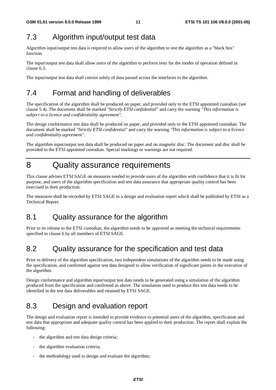### 7.3 Algorithm input/output test data

Algorithm input/output test data is required to allow users of the algorithm to test the algorithm as a "black box" function.

The input/output test data shall allow users of the algorithm to perform tests for the modes of operation defined in clause 6.3.

The input/output test data shall consist solely of data passed across the interfaces to the algorithm.

### 7.4 Format and handling of deliverables

The specification of the algorithm shall be produced on paper, and provided only to the ETSI appointed custodian (see clause 5.4). The document shall be marked *"Strictly ETSI confidential"* and carry the warning *"This information is subject to a licence and confidentiality agreement"*.

The design conformance test data shall be produced on paper, and provided only to the ETSI appointed custodian. The document shall be marked *"Strictly ETSI confidential"* and carry the warning *"This information is subject to a licence and confidentiality agreement"*.

The algorithm input/output test data shall be produced on paper and on magnetic disc. The document and disc shall be provided to the ETSI appointed custodian. Special markings or warnings are not required.

### 8 Quality assurance requirements

This clause advises ETSI SAGE on measures needed to provide users of the algorithm with confidence that it is fit for purpose, and users of the algorithm specification and test data assurance that appropriate quality control has been exercised in their production.

The measures shall be recorded by ETSI SAGE in a design and evaluation report which shall be published by ETSI as a Technical Report.

### 8.1 Quality assurance for the algorithm

Prior to its release to the ETSI custodian, the algorithm needs to be approved as meeting the technical requirements specified in clause 6 by all members of ETSI SAGE.

### 8.2 Quality assurance for the specification and test data

Prior to delivery of the algorithm specification, two independent simulations of the algorithm needs to be made using the specification, and confirmed against test data designed to allow verification of significant points in the execution of the algorithm.

Design conformance and algorithm input/output test data needs to be generated using a simulation of the algorithm produced from the specification and confirmed as above. The simulation used to produce this test data needs to be identified in the test data deliverables and retained by ETSI SAGE.

### 8.3 Design and evaluation report

The design and evaluation report is intended to provide evidence to potential users of the algorithm, specification and test data that appropriate and adequate quality control has been applied to their production. The report shall explain the following:

- the algorithm and test data design criteria;
- the algorithm evaluation criteria;
- the methodology used to design and evaluate the algorithm;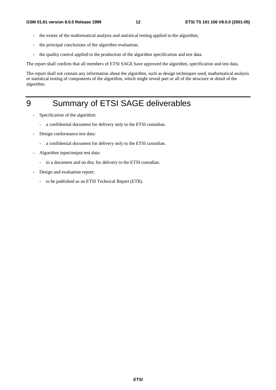- the extent of the mathematical analysis and statistical testing applied to the algorithm;
- the principal conclusions of the algorithm evaluation;
- the quality control applied to the production of the algorithm specification and test data.

The report shall confirm that all members of ETSI SAGE have approved the algorithm, specification and test data.

The report shall not contain any information about the algorithm, such as design techniques used, mathematical analysis or statistical testing of components of the algorithm, which might reveal part or all of the structure or detail of the algorithm.

### 9 Summary of ETSI SAGE deliverables

- Specification of the algorithm:
	- a confidential document for delivery only to the ETSI custodian.
- Design conformance test data:
	- a confidential document for delivery only to the ETSI custodian.
- Algorithm input/output test data:
	- in a document and on disc for delivery to the ETSI custodian.
- Design and evaluation report;
	- to be published as an ETSI Technical Report (ETR).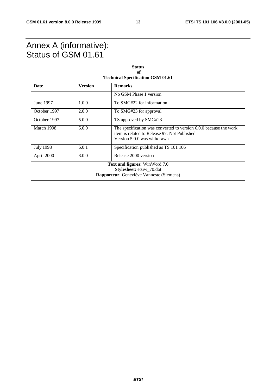### Annex A (informative): Status of GSM 01.61

| <b>Status</b><br>of                                                                                                 |                |                                                                                                                                                  |  |  |  |
|---------------------------------------------------------------------------------------------------------------------|----------------|--------------------------------------------------------------------------------------------------------------------------------------------------|--|--|--|
| <b>Technical Specification GSM 01.61</b>                                                                            |                |                                                                                                                                                  |  |  |  |
| Date                                                                                                                | <b>Version</b> | <b>Remarks</b>                                                                                                                                   |  |  |  |
|                                                                                                                     |                | No GSM Phase 1 version                                                                                                                           |  |  |  |
| June 1997                                                                                                           | 1.0.0          | To SMG#22 for information                                                                                                                        |  |  |  |
| October 1997                                                                                                        | 2.0.0          | To SMG#23 for approval                                                                                                                           |  |  |  |
| October 1997                                                                                                        | 5.0.0          | TS approved by SMG#23                                                                                                                            |  |  |  |
| March 1998                                                                                                          | 6.0.0          | The specification was converted to version 6.0.0 because the work<br>item is related to Release 97. Not Published<br>Version 5.0.0 was withdrawn |  |  |  |
| <b>July 1998</b>                                                                                                    | 6.0.1          | Specification published as TS 101 106                                                                                                            |  |  |  |
| April 2000                                                                                                          | 8.0.0          | Release 2000 version                                                                                                                             |  |  |  |
| <b>Text and figures:</b> WinWord 7.0<br>Stylesheet: etsiw_70.dot<br><b>Rapporteur:</b> Geneviéve Vanneste (Siemens) |                |                                                                                                                                                  |  |  |  |